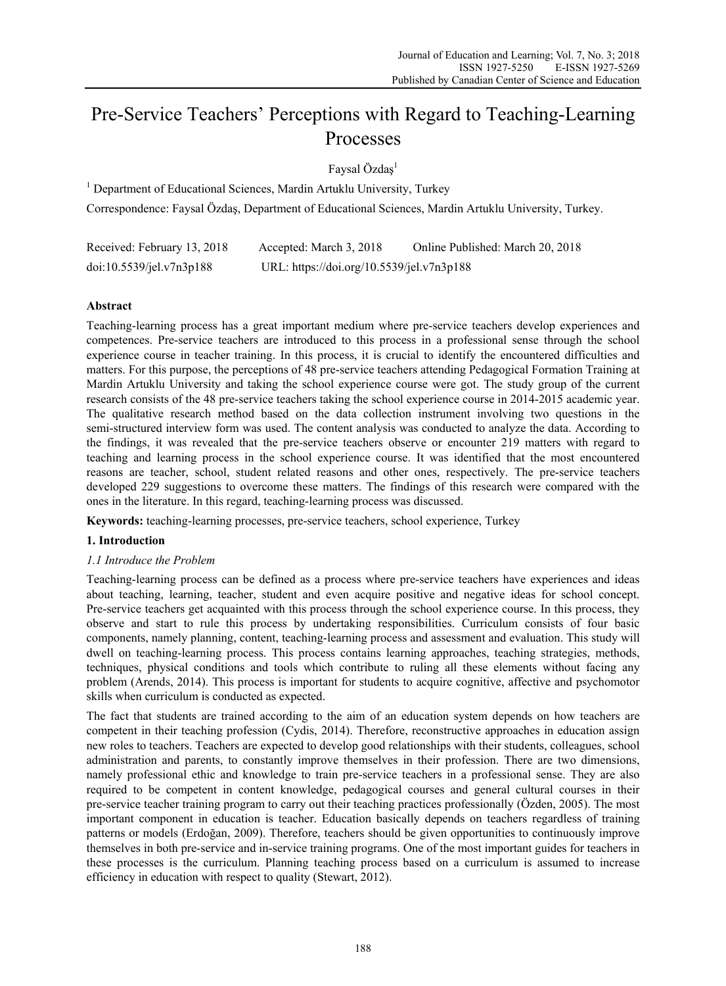# Pre-Service Teachers' Perceptions with Regard to Teaching-Learning Processes

Faysal Özdaş<sup>1</sup>

<sup>1</sup> Department of Educational Sciences, Mardin Artuklu University, Turkey Correspondence: Faysal Özdaş, Department of Educational Sciences, Mardin Artuklu University, Turkey.

| Received: February 13, 2018 | Accepted: March 3, 2018                   | Online Published: March 20, 2018 |
|-----------------------------|-------------------------------------------|----------------------------------|
| doi:10.5539/jeLv7n3p188     | URL: https://doi.org/10.5539/jel.v7n3p188 |                                  |

## **Abstract**

Teaching-learning process has a great important medium where pre-service teachers develop experiences and competences. Pre-service teachers are introduced to this process in a professional sense through the school experience course in teacher training. In this process, it is crucial to identify the encountered difficulties and matters. For this purpose, the perceptions of 48 pre-service teachers attending Pedagogical Formation Training at Mardin Artuklu University and taking the school experience course were got. The study group of the current research consists of the 48 pre-service teachers taking the school experience course in 2014-2015 academic year. The qualitative research method based on the data collection instrument involving two questions in the semi-structured interview form was used. The content analysis was conducted to analyze the data. According to the findings, it was revealed that the pre-service teachers observe or encounter 219 matters with regard to teaching and learning process in the school experience course. It was identified that the most encountered reasons are teacher, school, student related reasons and other ones, respectively. The pre-service teachers developed 229 suggestions to overcome these matters. The findings of this research were compared with the ones in the literature. In this regard, teaching-learning process was discussed.

**Keywords:** teaching-learning processes, pre-service teachers, school experience, Turkey

## **1. Introduction**

## *1.1 Introduce the Problem*

Teaching-learning process can be defined as a process where pre-service teachers have experiences and ideas about teaching, learning, teacher, student and even acquire positive and negative ideas for school concept. Pre-service teachers get acquainted with this process through the school experience course. In this process, they observe and start to rule this process by undertaking responsibilities. Curriculum consists of four basic components, namely planning, content, teaching-learning process and assessment and evaluation. This study will dwell on teaching-learning process. This process contains learning approaches, teaching strategies, methods, techniques, physical conditions and tools which contribute to ruling all these elements without facing any problem (Arends, 2014). This process is important for students to acquire cognitive, affective and psychomotor skills when curriculum is conducted as expected.

The fact that students are trained according to the aim of an education system depends on how teachers are competent in their teaching profession (Cydis, 2014). Therefore, reconstructive approaches in education assign new roles to teachers. Teachers are expected to develop good relationships with their students, colleagues, school administration and parents, to constantly improve themselves in their profession. There are two dimensions, namely professional ethic and knowledge to train pre-service teachers in a professional sense. They are also required to be competent in content knowledge, pedagogical courses and general cultural courses in their pre-service teacher training program to carry out their teaching practices professionally (Özden, 2005). The most important component in education is teacher. Education basically depends on teachers regardless of training patterns or models (Erdoğan, 2009). Therefore, teachers should be given opportunities to continuously improve themselves in both pre-service and in-service training programs. One of the most important guides for teachers in these processes is the curriculum. Planning teaching process based on a curriculum is assumed to increase efficiency in education with respect to quality (Stewart, 2012).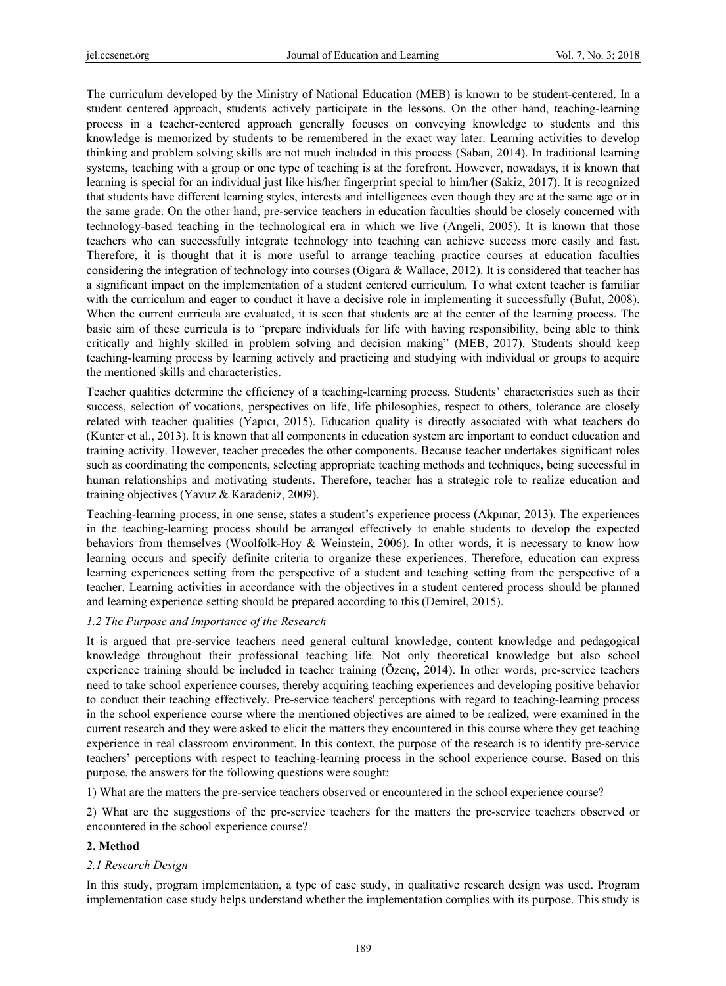The curriculum developed by the Ministry of National Education (MEB) is known to be student-centered. In a student centered approach, students actively participate in the lessons. On the other hand, teaching-learning process in a teacher-centered approach generally focuses on conveying knowledge to students and this knowledge is memorized by students to be remembered in the exact way later. Learning activities to develop thinking and problem solving skills are not much included in this process (Saban, 2014). In traditional learning systems, teaching with a group or one type of teaching is at the forefront. However, nowadays, it is known that learning is special for an individual just like his/her fingerprint special to him/her (Sakiz, 2017). It is recognized that students have different learning styles, interests and intelligences even though they are at the same age or in the same grade. On the other hand, pre-service teachers in education faculties should be closely concerned with technology-based teaching in the technological era in which we live (Angeli, 2005). It is known that those teachers who can successfully integrate technology into teaching can achieve success more easily and fast. Therefore, it is thought that it is more useful to arrange teaching practice courses at education faculties considering the integration of technology into courses (Oigara & Wallace, 2012). It is considered that teacher has a significant impact on the implementation of a student centered curriculum. To what extent teacher is familiar with the curriculum and eager to conduct it have a decisive role in implementing it successfully (Bulut, 2008). When the current curricula are evaluated, it is seen that students are at the center of the learning process. The basic aim of these curricula is to "prepare individuals for life with having responsibility, being able to think critically and highly skilled in problem solving and decision making" (MEB, 2017). Students should keep teaching-learning process by learning actively and practicing and studying with individual or groups to acquire the mentioned skills and characteristics.

Teacher qualities determine the efficiency of a teaching-learning process. Students' characteristics such as their success, selection of vocations, perspectives on life, life philosophies, respect to others, tolerance are closely related with teacher qualities (Yapıcı, 2015). Education quality is directly associated with what teachers do (Kunter et al., 2013). It is known that all components in education system are important to conduct education and training activity. However, teacher precedes the other components. Because teacher undertakes significant roles such as coordinating the components, selecting appropriate teaching methods and techniques, being successful in human relationships and motivating students. Therefore, teacher has a strategic role to realize education and training objectives (Yavuz & Karadeniz, 2009).

Teaching-learning process, in one sense, states a student's experience process (Akpınar, 2013). The experiences in the teaching-learning process should be arranged effectively to enable students to develop the expected behaviors from themselves (Woolfolk-Hoy & Weinstein, 2006). In other words, it is necessary to know how learning occurs and specify definite criteria to organize these experiences. Therefore, education can express learning experiences setting from the perspective of a student and teaching setting from the perspective of a teacher. Learning activities in accordance with the objectives in a student centered process should be planned and learning experience setting should be prepared according to this (Demirel, 2015).

### *1.2 The Purpose and Importance of the Research*

It is argued that pre-service teachers need general cultural knowledge, content knowledge and pedagogical knowledge throughout their professional teaching life. Not only theoretical knowledge but also school experience training should be included in teacher training (Özenç, 2014). In other words, pre-service teachers need to take school experience courses, thereby acquiring teaching experiences and developing positive behavior to conduct their teaching effectively. Pre-service teachers' perceptions with regard to teaching-learning process in the school experience course where the mentioned objectives are aimed to be realized, were examined in the current research and they were asked to elicit the matters they encountered in this course where they get teaching experience in real classroom environment. In this context, the purpose of the research is to identify pre-service teachers' perceptions with respect to teaching-learning process in the school experience course. Based on this purpose, the answers for the following questions were sought:

1) What are the matters the pre-service teachers observed or encountered in the school experience course?

2) What are the suggestions of the pre-service teachers for the matters the pre-service teachers observed or encountered in the school experience course?

### **2. Method**

### *2.1 Research Design*

In this study, program implementation, a type of case study, in qualitative research design was used. Program implementation case study helps understand whether the implementation complies with its purpose. This study is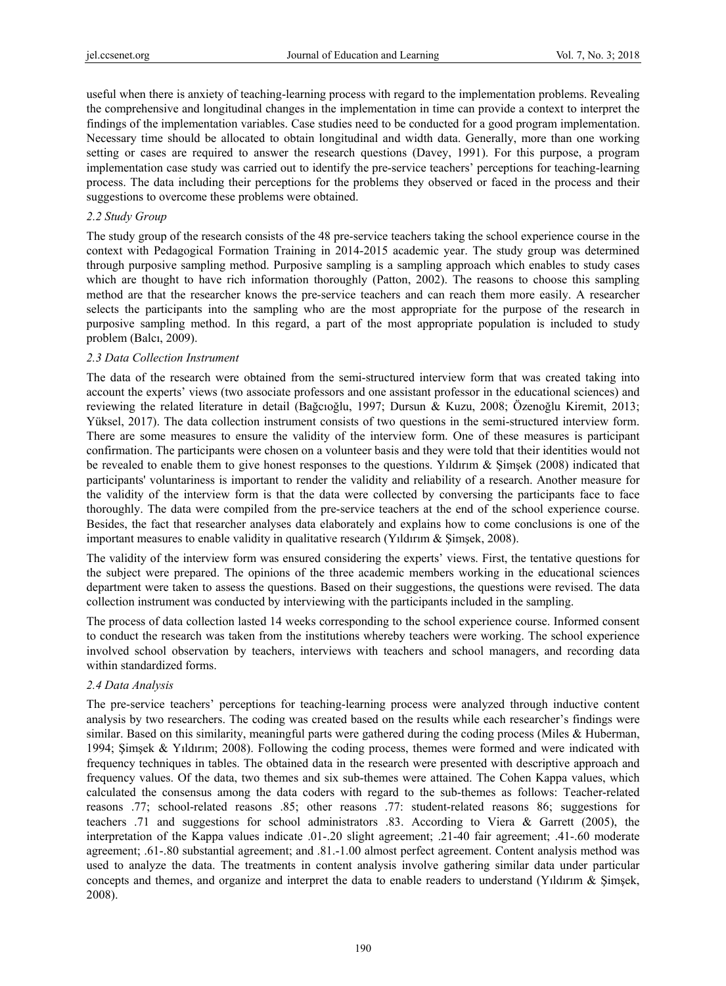useful when there is anxiety of teaching-learning process with regard to the implementation problems. Revealing the comprehensive and longitudinal changes in the implementation in time can provide a context to interpret the findings of the implementation variables. Case studies need to be conducted for a good program implementation. Necessary time should be allocated to obtain longitudinal and width data. Generally, more than one working setting or cases are required to answer the research questions (Davey, 1991). For this purpose, a program implementation case study was carried out to identify the pre-service teachers' perceptions for teaching-learning process. The data including their perceptions for the problems they observed or faced in the process and their suggestions to overcome these problems were obtained.

### *2.2 Study Group*

The study group of the research consists of the 48 pre-service teachers taking the school experience course in the context with Pedagogical Formation Training in 2014-2015 academic year. The study group was determined through purposive sampling method. Purposive sampling is a sampling approach which enables to study cases which are thought to have rich information thoroughly (Patton, 2002). The reasons to choose this sampling method are that the researcher knows the pre-service teachers and can reach them more easily. A researcher selects the participants into the sampling who are the most appropriate for the purpose of the research in purposive sampling method. In this regard, a part of the most appropriate population is included to study problem (Balcı, 2009).

### *2.3 Data Collection Instrument*

The data of the research were obtained from the semi-structured interview form that was created taking into account the experts' views (two associate professors and one assistant professor in the educational sciences) and reviewing the related literature in detail (Bağcıoğlu, 1997; Dursun & Kuzu, 2008; Özenoğlu Kiremit, 2013; Yüksel, 2017). The data collection instrument consists of two questions in the semi-structured interview form. There are some measures to ensure the validity of the interview form. One of these measures is participant confirmation. The participants were chosen on a volunteer basis and they were told that their identities would not be revealed to enable them to give honest responses to the questions. Yıldırım & Şimşek (2008) indicated that participants' voluntariness is important to render the validity and reliability of a research. Another measure for the validity of the interview form is that the data were collected by conversing the participants face to face thoroughly. The data were compiled from the pre-service teachers at the end of the school experience course. Besides, the fact that researcher analyses data elaborately and explains how to come conclusions is one of the important measures to enable validity in qualitative research (Yıldırım  $\&$  Simsek, 2008).

The validity of the interview form was ensured considering the experts' views. First, the tentative questions for the subject were prepared. The opinions of the three academic members working in the educational sciences department were taken to assess the questions. Based on their suggestions, the questions were revised. The data collection instrument was conducted by interviewing with the participants included in the sampling.

The process of data collection lasted 14 weeks corresponding to the school experience course. Informed consent to conduct the research was taken from the institutions whereby teachers were working. The school experience involved school observation by teachers, interviews with teachers and school managers, and recording data within standardized forms.

### *2.4 Data Analysis*

The pre-service teachers' perceptions for teaching-learning process were analyzed through inductive content analysis by two researchers. The coding was created based on the results while each researcher's findings were similar. Based on this similarity, meaningful parts were gathered during the coding process (Miles & Huberman, 1994; Şimşek & Yıldırım; 2008). Following the coding process, themes were formed and were indicated with frequency techniques in tables. The obtained data in the research were presented with descriptive approach and frequency values. Of the data, two themes and six sub-themes were attained. The Cohen Kappa values, which calculated the consensus among the data coders with regard to the sub-themes as follows: Teacher-related reasons .77; school-related reasons .85; other reasons .77: student-related reasons 86; suggestions for teachers .71 and suggestions for school administrators .83. According to Viera & Garrett (2005), the interpretation of the Kappa values indicate .01-.20 slight agreement; .21-40 fair agreement; .41-.60 moderate agreement; .61-.80 substantial agreement; and .81.-1.00 almost perfect agreement. Content analysis method was used to analyze the data. The treatments in content analysis involve gathering similar data under particular concepts and themes, and organize and interpret the data to enable readers to understand (Yıldırım & Şimşek, 2008).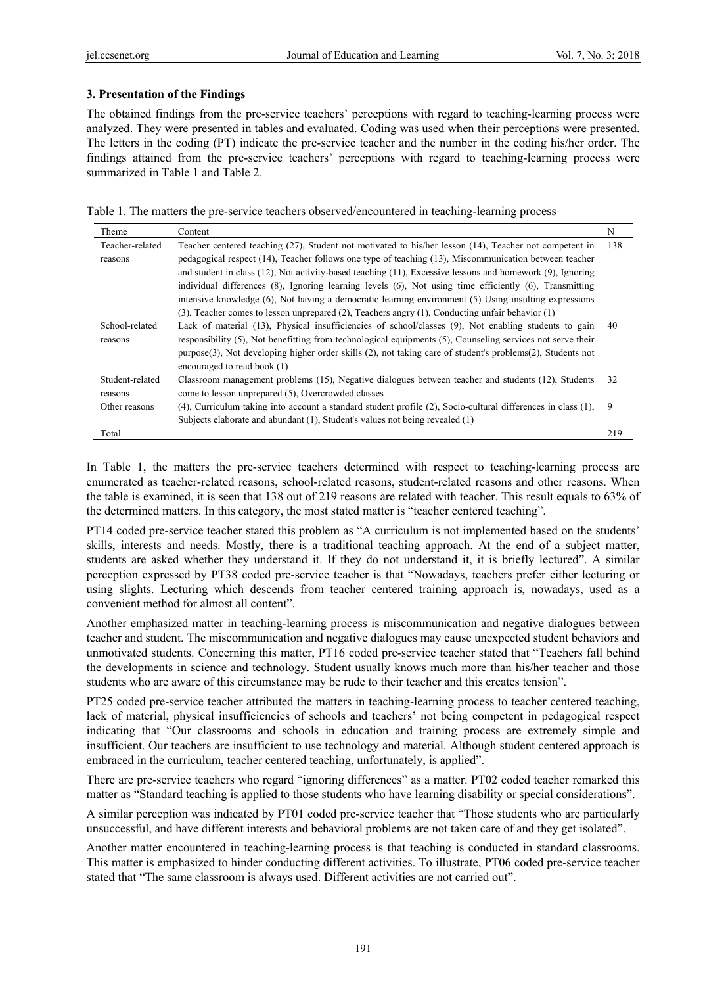## **3. Presentation of the Findings**

The obtained findings from the pre-service teachers' perceptions with regard to teaching-learning process were analyzed. They were presented in tables and evaluated. Coding was used when their perceptions were presented. The letters in the coding (PT) indicate the pre-service teacher and the number in the coding his/her order. The findings attained from the pre-service teachers' perceptions with regard to teaching-learning process were summarized in Table 1 and Table 2.

Table 1. The matters the pre-service teachers observed/encountered in teaching-learning process

| Theme           | Content                                                                                                              | N   |
|-----------------|----------------------------------------------------------------------------------------------------------------------|-----|
| Teacher-related | Teacher centered teaching (27), Student not motivated to his/her lesson (14), Teacher not competent in               | 138 |
| reasons         | pedagogical respect (14), Teacher follows one type of teaching (13), Miscommunication between teacher                |     |
|                 | and student in class $(12)$ , Not activity-based teaching $(11)$ , Excessive lessons and homework $(9)$ , Ignoring   |     |
|                 | individual differences (8), Ignoring learning levels (6), Not using time efficiently (6), Transmitting               |     |
|                 | intensive knowledge (6), Not having a democratic learning environment (5) Using insulting expressions                |     |
|                 | $(3)$ , Teacher comes to lesson unprepared $(2)$ , Teachers angry $(1)$ , Conducting unfair behavior $(1)$           |     |
| School-related  | Lack of material (13), Physical insufficiencies of school/classes (9), Not enabling students to gain                 | 40  |
| reasons         | responsibility (5), Not benefitting from technological equipments (5), Counseling services not serve their           |     |
|                 | $purpose(3)$ , Not developing higher order skills $(2)$ , not taking care of student's problems $(2)$ , Students not |     |
|                 | encouraged to read book (1)                                                                                          |     |
| Student-related | Classroom management problems (15), Negative dialogues between teacher and students (12), Students                   | 32  |
| reasons         | come to lesson unprepared (5), Overcrowded classes                                                                   |     |
| Other reasons   | (4), Curriculum taking into account a standard student profile (2), Socio-cultural differences in class (1),         | 9   |
|                 | Subjects elaborate and abundant $(1)$ , Student's values not being revealed $(1)$                                    |     |
| Total           |                                                                                                                      | 219 |

In Table 1, the matters the pre-service teachers determined with respect to teaching-learning process are enumerated as teacher-related reasons, school-related reasons, student-related reasons and other reasons. When the table is examined, it is seen that 138 out of 219 reasons are related with teacher. This result equals to 63% of the determined matters. In this category, the most stated matter is "teacher centered teaching".

PT14 coded pre-service teacher stated this problem as "A curriculum is not implemented based on the students' skills, interests and needs. Mostly, there is a traditional teaching approach. At the end of a subject matter, students are asked whether they understand it. If they do not understand it, it is briefly lectured". A similar perception expressed by PT38 coded pre-service teacher is that "Nowadays, teachers prefer either lecturing or using slights. Lecturing which descends from teacher centered training approach is, nowadays, used as a convenient method for almost all content".

Another emphasized matter in teaching-learning process is miscommunication and negative dialogues between teacher and student. The miscommunication and negative dialogues may cause unexpected student behaviors and unmotivated students. Concerning this matter, PT16 coded pre-service teacher stated that "Teachers fall behind the developments in science and technology. Student usually knows much more than his/her teacher and those students who are aware of this circumstance may be rude to their teacher and this creates tension".

PT25 coded pre-service teacher attributed the matters in teaching-learning process to teacher centered teaching, lack of material, physical insufficiencies of schools and teachers' not being competent in pedagogical respect indicating that "Our classrooms and schools in education and training process are extremely simple and insufficient. Our teachers are insufficient to use technology and material. Although student centered approach is embraced in the curriculum, teacher centered teaching, unfortunately, is applied".

There are pre-service teachers who regard "ignoring differences" as a matter. PT02 coded teacher remarked this matter as "Standard teaching is applied to those students who have learning disability or special considerations".

A similar perception was indicated by PT01 coded pre-service teacher that "Those students who are particularly unsuccessful, and have different interests and behavioral problems are not taken care of and they get isolated".

Another matter encountered in teaching-learning process is that teaching is conducted in standard classrooms. This matter is emphasized to hinder conducting different activities. To illustrate, PT06 coded pre-service teacher stated that "The same classroom is always used. Different activities are not carried out".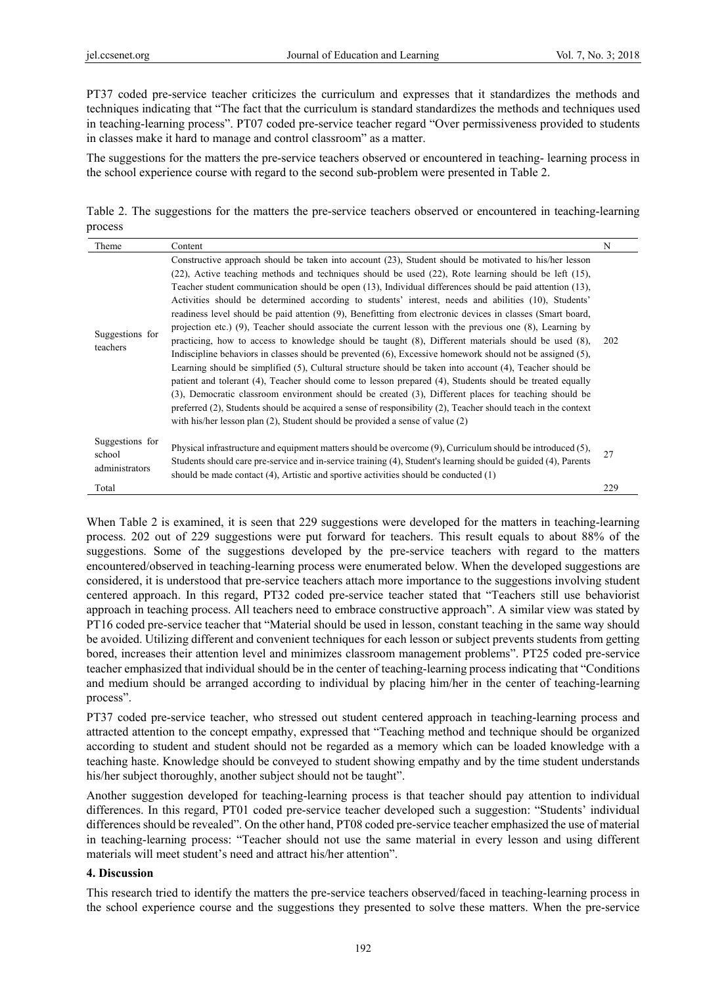PT37 coded pre-service teacher criticizes the curriculum and expresses that it standardizes the methods and techniques indicating that "The fact that the curriculum is standard standardizes the methods and techniques used in teaching-learning process". PT07 coded pre-service teacher regard "Over permissiveness provided to students in classes make it hard to manage and control classroom" as a matter.

The suggestions for the matters the pre-service teachers observed or encountered in teaching- learning process in the school experience course with regard to the second sub-problem were presented in Table 2.

Table 2. The suggestions for the matters the pre-service teachers observed or encountered in teaching-learning process

| Theme                                       | Content                                                                                                                                                                                                                                                                                                                                                                                                                                                                                                                                                                                                                                                                                                                                                                                                                                                                                                                                                                                                                                                                                                                                                                                                                                                                                                                                                                                                                                   | N   |
|---------------------------------------------|-------------------------------------------------------------------------------------------------------------------------------------------------------------------------------------------------------------------------------------------------------------------------------------------------------------------------------------------------------------------------------------------------------------------------------------------------------------------------------------------------------------------------------------------------------------------------------------------------------------------------------------------------------------------------------------------------------------------------------------------------------------------------------------------------------------------------------------------------------------------------------------------------------------------------------------------------------------------------------------------------------------------------------------------------------------------------------------------------------------------------------------------------------------------------------------------------------------------------------------------------------------------------------------------------------------------------------------------------------------------------------------------------------------------------------------------|-----|
| Suggestions for<br>teachers                 | Constructive approach should be taken into account (23), Student should be motivated to his/her lesson<br>$(22)$ , Active teaching methods and techniques should be used $(22)$ , Rote learning should be left $(15)$ ,<br>Teacher student communication should be open (13), Individual differences should be paid attention (13),<br>Activities should be determined according to students' interest, needs and abilities (10), Students'<br>readiness level should be paid attention (9), Benefitting from electronic devices in classes (Smart board,<br>projection etc.) (9), Teacher should associate the current lesson with the previous one (8), Learning by<br>practicing, how to access to knowledge should be taught $(8)$ . Different materials should be used $(8)$ ,<br>Indiscipline behaviors in classes should be prevented (6), Excessive homework should not be assigned (5),<br>Learning should be simplified (5), Cultural structure should be taken into account (4), Teacher should be<br>patient and tolerant (4), Teacher should come to lesson prepared (4), Students should be treated equally<br>(3), Democratic classroom environment should be created (3), Different places for teaching should be<br>preferred $(2)$ , Students should be acquired a sense of responsibility $(2)$ , Teacher should teach in the context<br>with his/her lesson plan (2), Student should be provided a sense of value (2) | 202 |
| Suggestions for<br>school<br>administrators | Physical infrastructure and equipment matters should be overcome (9), Curriculum should be introduced (5),<br>Students should care pre-service and in-service training (4), Student's learning should be guided (4), Parents<br>should be made contact $(4)$ , Artistic and sportive activities should be conducted $(1)$                                                                                                                                                                                                                                                                                                                                                                                                                                                                                                                                                                                                                                                                                                                                                                                                                                                                                                                                                                                                                                                                                                                 | 27  |
| Total                                       |                                                                                                                                                                                                                                                                                                                                                                                                                                                                                                                                                                                                                                                                                                                                                                                                                                                                                                                                                                                                                                                                                                                                                                                                                                                                                                                                                                                                                                           | 229 |

When Table 2 is examined, it is seen that 229 suggestions were developed for the matters in teaching-learning process. 202 out of 229 suggestions were put forward for teachers. This result equals to about 88% of the suggestions. Some of the suggestions developed by the pre-service teachers with regard to the matters encountered/observed in teaching-learning process were enumerated below. When the developed suggestions are considered, it is understood that pre-service teachers attach more importance to the suggestions involving student centered approach. In this regard, PT32 coded pre-service teacher stated that "Teachers still use behaviorist approach in teaching process. All teachers need to embrace constructive approach". A similar view was stated by PT16 coded pre-service teacher that "Material should be used in lesson, constant teaching in the same way should be avoided. Utilizing different and convenient techniques for each lesson or subject prevents students from getting bored, increases their attention level and minimizes classroom management problems". PT25 coded pre-service teacher emphasized that individual should be in the center of teaching-learning process indicating that "Conditions and medium should be arranged according to individual by placing him/her in the center of teaching-learning process".

PT37 coded pre-service teacher, who stressed out student centered approach in teaching-learning process and attracted attention to the concept empathy, expressed that "Teaching method and technique should be organized according to student and student should not be regarded as a memory which can be loaded knowledge with a teaching haste. Knowledge should be conveyed to student showing empathy and by the time student understands his/her subject thoroughly, another subject should not be taught".

Another suggestion developed for teaching-learning process is that teacher should pay attention to individual differences. In this regard, PT01 coded pre-service teacher developed such a suggestion: "Students' individual differences should be revealed". On the other hand, PT08 coded pre-service teacher emphasized the use of material in teaching-learning process: "Teacher should not use the same material in every lesson and using different materials will meet student's need and attract his/her attention".

### **4. Discussion**

This research tried to identify the matters the pre-service teachers observed/faced in teaching-learning process in the school experience course and the suggestions they presented to solve these matters. When the pre-service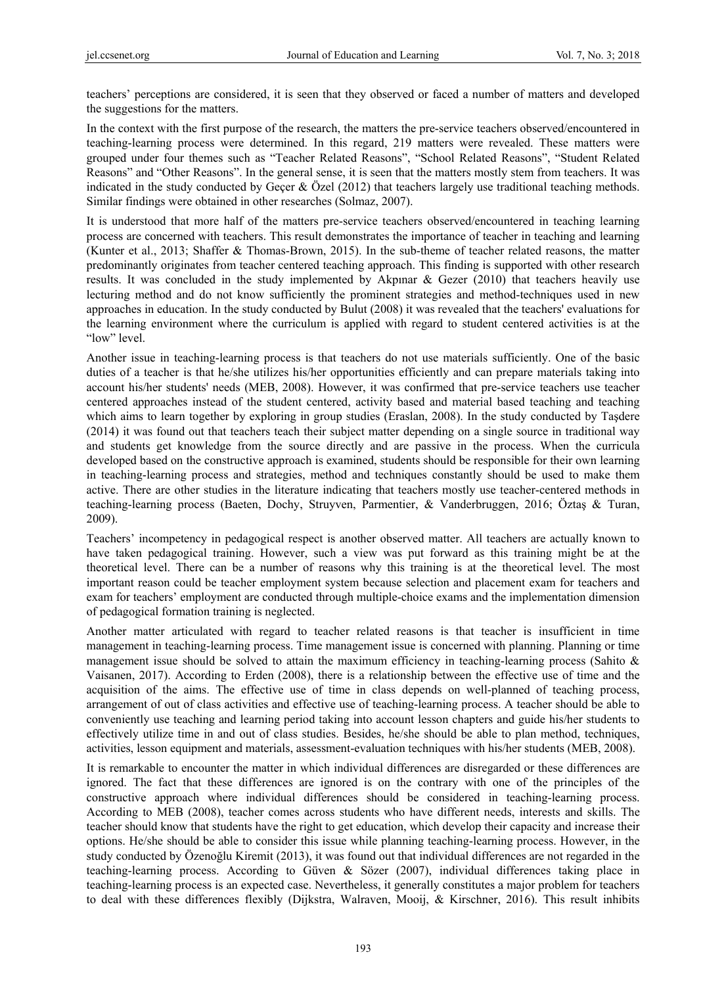teachers' perceptions are considered, it is seen that they observed or faced a number of matters and developed the suggestions for the matters.

In the context with the first purpose of the research, the matters the pre-service teachers observed/encountered in teaching-learning process were determined. In this regard, 219 matters were revealed. These matters were grouped under four themes such as "Teacher Related Reasons", "School Related Reasons", "Student Related Reasons" and "Other Reasons". In the general sense, it is seen that the matters mostly stem from teachers. It was indicated in the study conducted by Geçer & Özel (2012) that teachers largely use traditional teaching methods. Similar findings were obtained in other researches (Solmaz, 2007).

It is understood that more half of the matters pre-service teachers observed/encountered in teaching learning process are concerned with teachers. This result demonstrates the importance of teacher in teaching and learning (Kunter et al., 2013; Shaffer & Thomas-Brown, 2015). In the sub-theme of teacher related reasons, the matter predominantly originates from teacher centered teaching approach. This finding is supported with other research results. It was concluded in the study implemented by Akpınar & Gezer (2010) that teachers heavily use lecturing method and do not know sufficiently the prominent strategies and method-techniques used in new approaches in education. In the study conducted by Bulut (2008) it was revealed that the teachers' evaluations for the learning environment where the curriculum is applied with regard to student centered activities is at the "low" level.

Another issue in teaching-learning process is that teachers do not use materials sufficiently. One of the basic duties of a teacher is that he/she utilizes his/her opportunities efficiently and can prepare materials taking into account his/her students' needs (MEB, 2008). However, it was confirmed that pre-service teachers use teacher centered approaches instead of the student centered, activity based and material based teaching and teaching which aims to learn together by exploring in group studies (Eraslan, 2008). In the study conducted by Taşdere (2014) it was found out that teachers teach their subject matter depending on a single source in traditional way and students get knowledge from the source directly and are passive in the process. When the curricula developed based on the constructive approach is examined, students should be responsible for their own learning in teaching-learning process and strategies, method and techniques constantly should be used to make them active. There are other studies in the literature indicating that teachers mostly use teacher-centered methods in teaching-learning process (Baeten, Dochy, Struyven, Parmentier, & Vanderbruggen, 2016; Öztaş & Turan, 2009).

Teachers' incompetency in pedagogical respect is another observed matter. All teachers are actually known to have taken pedagogical training. However, such a view was put forward as this training might be at the theoretical level. There can be a number of reasons why this training is at the theoretical level. The most important reason could be teacher employment system because selection and placement exam for teachers and exam for teachers' employment are conducted through multiple-choice exams and the implementation dimension of pedagogical formation training is neglected.

Another matter articulated with regard to teacher related reasons is that teacher is insufficient in time management in teaching-learning process. Time management issue is concerned with planning. Planning or time management issue should be solved to attain the maximum efficiency in teaching-learning process (Sahito  $\&$ Vaisanen, 2017). According to Erden (2008), there is a relationship between the effective use of time and the acquisition of the aims. The effective use of time in class depends on well-planned of teaching process, arrangement of out of class activities and effective use of teaching-learning process. A teacher should be able to conveniently use teaching and learning period taking into account lesson chapters and guide his/her students to effectively utilize time in and out of class studies. Besides, he/she should be able to plan method, techniques, activities, lesson equipment and materials, assessment-evaluation techniques with his/her students (MEB, 2008).

It is remarkable to encounter the matter in which individual differences are disregarded or these differences are ignored. The fact that these differences are ignored is on the contrary with one of the principles of the constructive approach where individual differences should be considered in teaching-learning process. According to MEB (2008), teacher comes across students who have different needs, interests and skills. The teacher should know that students have the right to get education, which develop their capacity and increase their options. He/she should be able to consider this issue while planning teaching-learning process. However, in the study conducted by Özenoğlu Kiremit (2013), it was found out that individual differences are not regarded in the teaching-learning process. According to Güven & Sözer (2007), individual differences taking place in teaching-learning process is an expected case. Nevertheless, it generally constitutes a major problem for teachers to deal with these differences flexibly (Dijkstra, Walraven, Mooij, & Kirschner, 2016). This result inhibits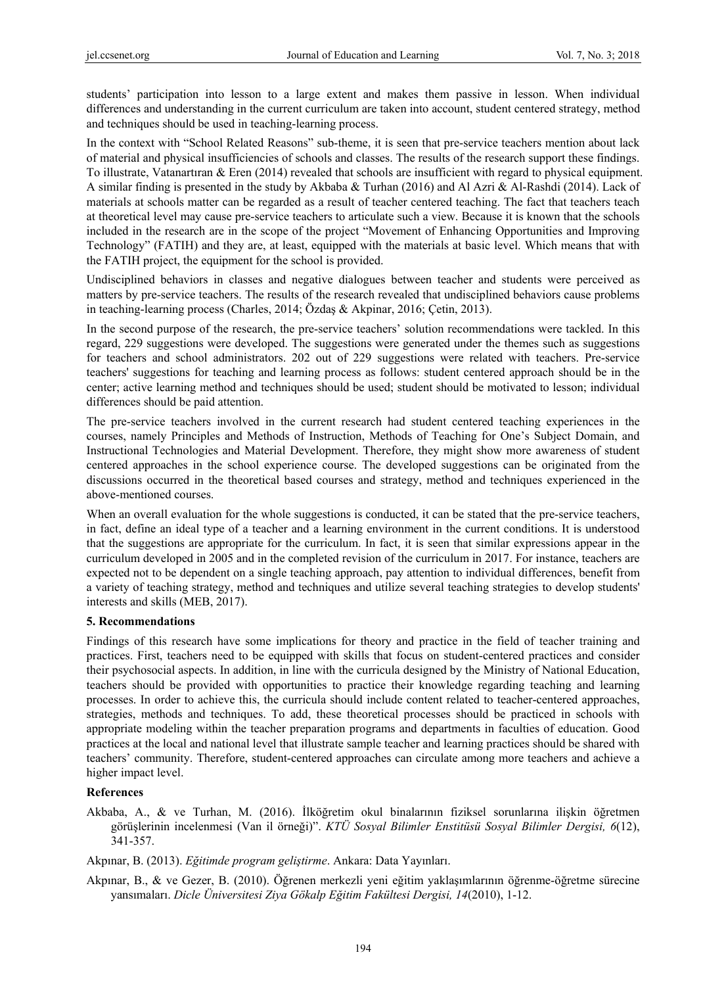students' participation into lesson to a large extent and makes them passive in lesson. When individual differences and understanding in the current curriculum are taken into account, student centered strategy, method and techniques should be used in teaching-learning process.

In the context with "School Related Reasons" sub-theme, it is seen that pre-service teachers mention about lack of material and physical insufficiencies of schools and classes. The results of the research support these findings. To illustrate, Vatanartıran & Eren (2014) revealed that schools are insufficient with regard to physical equipment. A similar finding is presented in the study by Akbaba & Turhan (2016) and Al Azri & Al-Rashdi (2014). Lack of materials at schools matter can be regarded as a result of teacher centered teaching. The fact that teachers teach at theoretical level may cause pre-service teachers to articulate such a view. Because it is known that the schools included in the research are in the scope of the project "Movement of Enhancing Opportunities and Improving Technology" (FATIH) and they are, at least, equipped with the materials at basic level. Which means that with the FATIH project, the equipment for the school is provided.

Undisciplined behaviors in classes and negative dialogues between teacher and students were perceived as matters by pre-service teachers. The results of the research revealed that undisciplined behaviors cause problems in teaching-learning process (Charles, 2014; Özdaş & Akpinar, 2016; Çetin, 2013).

In the second purpose of the research, the pre-service teachers' solution recommendations were tackled. In this regard, 229 suggestions were developed. The suggestions were generated under the themes such as suggestions for teachers and school administrators. 202 out of 229 suggestions were related with teachers. Pre-service teachers' suggestions for teaching and learning process as follows: student centered approach should be in the center; active learning method and techniques should be used; student should be motivated to lesson; individual differences should be paid attention.

The pre-service teachers involved in the current research had student centered teaching experiences in the courses, namely Principles and Methods of Instruction, Methods of Teaching for One's Subject Domain, and Instructional Technologies and Material Development. Therefore, they might show more awareness of student centered approaches in the school experience course. The developed suggestions can be originated from the discussions occurred in the theoretical based courses and strategy, method and techniques experienced in the above-mentioned courses.

When an overall evaluation for the whole suggestions is conducted, it can be stated that the pre-service teachers, in fact, define an ideal type of a teacher and a learning environment in the current conditions. It is understood that the suggestions are appropriate for the curriculum. In fact, it is seen that similar expressions appear in the curriculum developed in 2005 and in the completed revision of the curriculum in 2017. For instance, teachers are expected not to be dependent on a single teaching approach, pay attention to individual differences, benefit from a variety of teaching strategy, method and techniques and utilize several teaching strategies to develop students' interests and skills (MEB, 2017).

### **5. Recommendations**

Findings of this research have some implications for theory and practice in the field of teacher training and practices. First, teachers need to be equipped with skills that focus on student-centered practices and consider their psychosocial aspects. In addition, in line with the curricula designed by the Ministry of National Education, teachers should be provided with opportunities to practice their knowledge regarding teaching and learning processes. In order to achieve this, the curricula should include content related to teacher-centered approaches, strategies, methods and techniques. To add, these theoretical processes should be practiced in schools with appropriate modeling within the teacher preparation programs and departments in faculties of education. Good practices at the local and national level that illustrate sample teacher and learning practices should be shared with teachers' community. Therefore, student-centered approaches can circulate among more teachers and achieve a higher impact level.

## **References**

Akbaba, A., & ve Turhan, M. (2016). İlköğretim okul binalarının fiziksel sorunlarına ilişkin öğretmen görüşlerinin incelenmesi (Van il örneği)". *KTÜ Sosyal Bilimler Enstitüsü Sosyal Bilimler Dergisi, 6*(12), 341-357.

Akpınar, B. (2013). *Eğitimde program geliştirme*. Ankara: Data Yayınları.

Akpınar, B., & ve Gezer, B. (2010). Öğrenen merkezli yeni eğitim yaklaşımlarının öğrenme-öğretme sürecine yansımaları. *Dicle Üniversitesi Ziya Gökalp Eğitim Fakültesi Dergisi, 14*(2010), 1-12.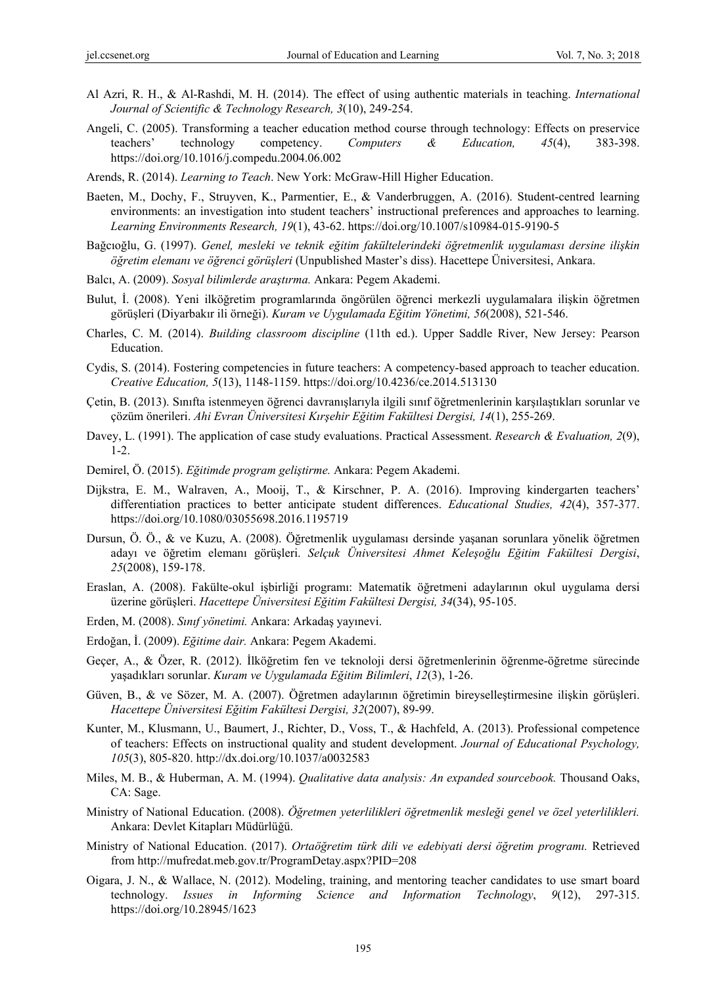- Al Azri, R. H., & Al-Rashdi, M. H. (2014). The effect of using authentic materials in teaching. *International Journal of Scientific & Technology Research, 3*(10), 249-254.
- Angeli, C. (2005). Transforming a teacher education method course through technology: Effects on preservice teachers' technology competency. *Computers & Education, 45*(4), 383-398. https://doi.org/10.1016/j.compedu.2004.06.002
- Arends, R. (2014). *Learning to Teach*. New York: McGraw-Hill Higher Education.
- Baeten, M., Dochy, F., Struyven, K., Parmentier, E., & Vanderbruggen, A. (2016). Student-centred learning environments: an investigation into student teachers' instructional preferences and approaches to learning. *Learning Environments Research, 19*(1), 43-62. https://doi.org/10.1007/s10984-015-9190-5
- Bağcıoğlu, G. (1997). *Genel, mesleki ve teknik eğitim fakültelerindeki öğretmenlik uygulaması dersine ilişkin öğretim elemanı ve öğrenci görüşleri* (Unpublished Master's diss). Hacettepe Üniversitesi, Ankara.
- Balcı, A. (2009). *Sosyal bilimlerde araştırma.* Ankara: Pegem Akademi.
- Bulut, İ. (2008). Yeni ilköğretim programlarında öngörülen öğrenci merkezli uygulamalara ilişkin öğretmen görüşleri (Diyarbakır ili örneği). *Kuram ve Uygulamada Eğitim Yönetimi, 56*(2008), 521-546.
- Charles, C. M. (2014). *Building classroom discipline* (11th ed.). Upper Saddle River, New Jersey: Pearson Education.
- Cydis, S. (2014). Fostering competencies in future teachers: A competency-based approach to teacher education. *Creative Education, 5*(13), 1148-1159. https://doi.org/10.4236/ce.2014.513130
- Çetin, B. (2013). Sınıfta istenmeyen öğrenci davranışlarıyla ilgili sınıf öğretmenlerinin karşılaştıkları sorunlar ve çözüm önerileri. *Ahi Evran Üniversitesi Kırşehir Eğitim Fakültesi Dergisi, 14*(1), 255-269.
- Davey, L. (1991). The application of case study evaluations. Practical Assessment. *Research & Evaluation, 2*(9), 1-2.
- Demirel, Ö. (2015). *Eğitimde program geliştirme.* Ankara: Pegem Akademi.
- Dijkstra, E. M., Walraven, A., Mooij, T., & Kirschner, P. A. (2016). Improving kindergarten teachers' differentiation practices to better anticipate student differences. *Educational Studies, 42*(4), 357-377. https://doi.org/10.1080/03055698.2016.1195719
- Dursun, Ö. Ö., & ve Kuzu, A. (2008). Öğretmenlik uygulaması dersinde yaşanan sorunlara yönelik öğretmen adayı ve öğretim elemanı görüşleri. *Selçuk Üniversitesi Ahmet Keleşoğlu Eğitim Fakültesi Dergisi*, *25*(2008), 159-178.
- Eraslan, A. (2008). Fakülte-okul işbirliği programı: Matematik öğretmeni adaylarının okul uygulama dersi üzerine görüşleri. *Hacettepe Üniversitesi Eğitim Fakültesi Dergisi, 34*(34), 95-105.
- Erden, M. (2008). *Sınıf yönetimi.* Ankara: Arkadaş yayınevi.
- Erdoğan, İ. (2009). *Eğitime dair.* Ankara: Pegem Akademi.
- Geçer, A., & Özer, R. (2012). İlköğretim fen ve teknoloji dersi öğretmenlerinin öğrenme-öğretme sürecinde yaşadıkları sorunlar. *Kuram ve Uygulamada Eğitim Bilimleri*, *12*(3), 1-26.
- Güven, B., & ve Sözer, M. A. (2007). Öğretmen adaylarının öğretimin bireyselleştirmesine ilişkin görüşleri. *Hacettepe Üniversitesi Eğitim Fakültesi Dergisi, 32*(2007), 89-99.
- Kunter, M., Klusmann, U., Baumert, J., Richter, D., Voss, T., & Hachfeld, A. (2013). Professional competence of teachers: Effects on instructional quality and student development. *Journal of Educational Psychology, 105*(3), 805-820. http://dx.doi.org/10.1037/a0032583
- Miles, M. B., & Huberman, A. M. (1994). *Qualitative data analysis: An expanded sourcebook.* Thousand Oaks, CA: Sage.
- Ministry of National Education. (2008). *Öğretmen yeterlilikleri öğretmenlik mesleği genel ve özel yeterlilikleri.*  Ankara: Devlet Kitapları Müdürlüğü.
- Ministry of National Education. (2017). *Ortaöğretim türk dili ve edebiyati dersi öğretim programı.* Retrieved from http://mufredat.meb.gov.tr/ProgramDetay.aspx?PID=208
- Oigara, J. N., & Wallace, N. (2012). Modeling, training, and mentoring teacher candidates to use smart board technology. *Issues in Informing Science and Information Technology*, *9*(12), 297-315. https://doi.org/10.28945/1623